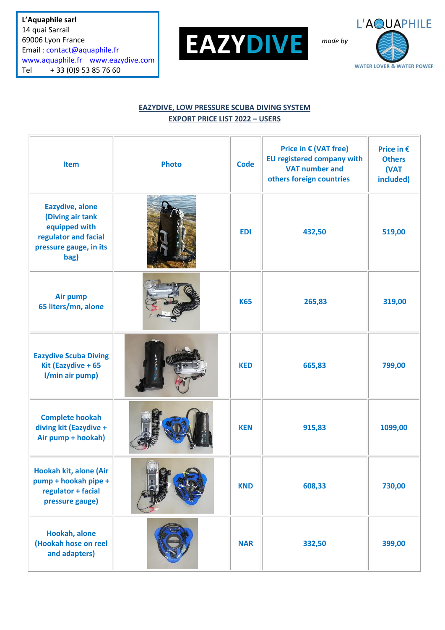**L'Aquaphile sarl** 14 quai Sarrail 69006 Lyon France Email : [contact@aquaphile.fr](mailto:contact@aquaphile.fr) [www.aquaphile.fr](http://www.aquaphile.fr/) [www.eazydive.com](http://www.eazydive.com/) Tel + 33 (0)9 53 85 76 60



L'AQUAPHILE *made by***WATER LOVER & WATER POWER** 

## **EAZYDIVE, LOW PRESSURE SCUBA DIVING SYSTEM EXPORT PRICE LIST 2022 – USERS**

| Item                                                                                                           | <b>Photo</b> | <b>Code</b> | Price in $\epsilon$ (VAT free)<br><b>EU registered company with</b><br><b>VAT number and</b><br>others foreign countries | Price in €<br><b>Others</b><br>(VAT<br>included) |
|----------------------------------------------------------------------------------------------------------------|--------------|-------------|--------------------------------------------------------------------------------------------------------------------------|--------------------------------------------------|
| Eazydive, alone<br>(Diving air tank<br>equipped with<br>regulator and facial<br>pressure gauge, in its<br>bag) |              | <b>EDI</b>  | 432,50                                                                                                                   | 519,00                                           |
| Air pump<br>65 liters/mn, alone                                                                                |              | <b>K65</b>  | 265,83                                                                                                                   | 319,00                                           |
| <b>Eazydive Scuba Diving</b><br>Kit (Eazydive + 65<br>l/min air pump)                                          |              | <b>KED</b>  | 665,83                                                                                                                   | 799,00                                           |
| <b>Complete hookah</b><br>diving kit (Eazydive +<br>Air pump + hookah)                                         |              | <b>KEN</b>  | 915,83                                                                                                                   | 1099,00                                          |
| Hookah kit, alone (Air<br>pump + hookah pipe +<br>regulator + facial<br>pressure gauge)                        |              | <b>KND</b>  | 608,33                                                                                                                   | 730,00                                           |
| Hookah, alone<br>(Hookah hose on reel<br>and adapters)                                                         |              | <b>NAR</b>  | 332,50                                                                                                                   | 399,00                                           |